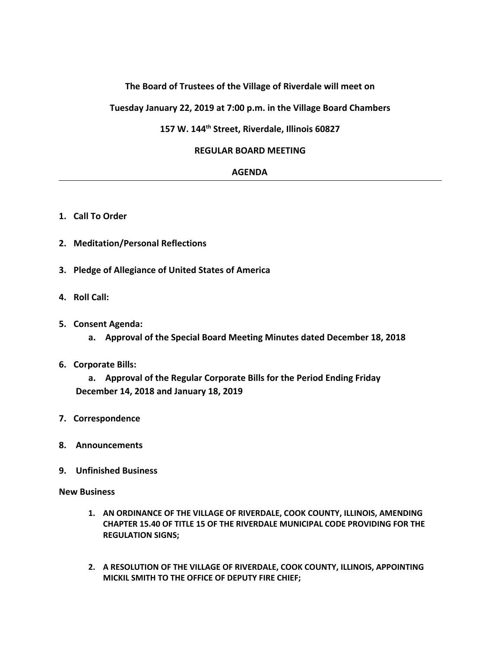# **The Board of Trustees of the Village of Riverdale will meet on**

### **Tuesday January 22, 2019 at 7:00 p.m. in the Village Board Chambers**

## **157 W. 144th Street, Riverdale, Illinois 60827**

#### **REGULAR BOARD MEETING**

#### **AGENDA**

- **1. Call To Order**
- **2. Meditation/Personal Reflections**
- **3. Pledge of Allegiance of United States of America**
- **4. Roll Call:**
- **5. Consent Agenda:**
	- **a. Approval of the Special Board Meeting Minutes dated December 18, 2018**
- **6. Corporate Bills:**

**a. Approval of the Regular Corporate Bills for the Period Ending Friday December 14, 2018 and January 18, 2019**

- **7. Correspondence**
- **8. Announcements**
- **9. Unfinished Business**

**New Business**

- **1. AN ORDINANCE OF THE VILLAGE OF RIVERDALE, COOK COUNTY, ILLINOIS, AMENDING CHAPTER 15.40 OF TITLE 15 OF THE RIVERDALE MUNICIPAL CODE PROVIDING FOR THE REGULATION SIGNS;**
- **2. A RESOLUTION OF THE VILLAGE OF RIVERDALE, COOK COUNTY, ILLINOIS, APPOINTING MICKIL SMITH TO THE OFFICE OF DEPUTY FIRE CHIEF;**